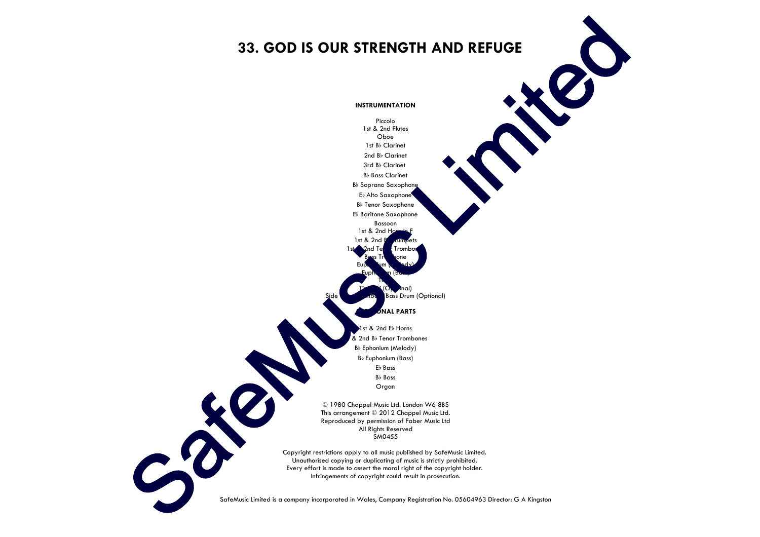